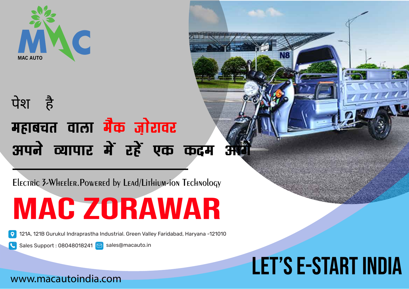

### महाबचत वाला **मैक** ज़ोरावर अपने व्यापार में रहें एक कदम **आ** पेश है

**Electric 3-Wheeler.Powered by Lead/Lithium-ion Technology**

mac zorawar

Sales Support : 08048018241  $\boxed{\triangleright}$  sales@macauto.in

## 121A, 121B Gurukul Indraprastha Industrial. Green Valley Faridabad, Haryana -121010<br>Sales Support : 08048018241 Sales@macauto.in<br>A FT<sup>7</sup> S F-START INNIA let's e-start india

IN: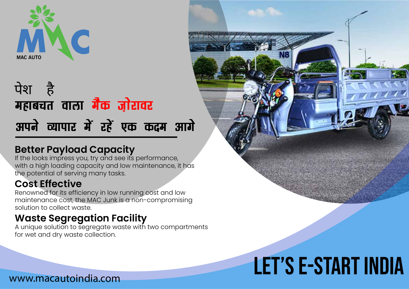

### अपने व्यापार में रहें एक कदम **आगे** महाबचत वाला **मैक जो**रावर पेश है

#### **Better Payload Capacity**

If the looks impress you, try and see its performance, with a high loading capacity and low maintenance, it has the potential of serving many tasks.

#### **Cost Effective**

Renowned for its efficiency in low running cost and low maintenance cost, the MAC Junk is a non-compromising solution to collect waste.

#### **Waste Segregation Facility**

A unique solution to segregate waste with two compartments for wet and dry waste collection.



# let's e-start india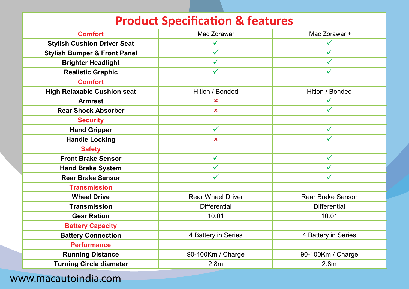| <b>Product Specification &amp; features</b> |                           |                          |  |
|---------------------------------------------|---------------------------|--------------------------|--|
| <b>Comfort</b>                              | Mac Zorawar               | Mac Zorawar +            |  |
| <b>Stylish Cushion Driver Seat</b>          |                           |                          |  |
| <b>Stylish Bumper &amp; Front Panel</b>     | $\checkmark$              | ✓                        |  |
| <b>Brighter Headlight</b>                   | $\checkmark$              | $\checkmark$             |  |
| <b>Realistic Graphic</b>                    | $\checkmark$              |                          |  |
| <b>Comfort</b>                              |                           |                          |  |
| <b>High Relaxable Cushion seat</b>          | Hitlon / Bonded           | Hitlon / Bonded          |  |
| <b>Armrest</b>                              | ×                         |                          |  |
| <b>Rear Shock Absorber</b>                  | $\boldsymbol{\mathsf{x}}$ |                          |  |
| <b>Security</b>                             |                           |                          |  |
| <b>Hand Gripper</b>                         | $\checkmark$              | $\checkmark$             |  |
| <b>Handle Locking</b>                       | $\boldsymbol{\mathsf{x}}$ |                          |  |
| <b>Safety</b>                               |                           |                          |  |
| <b>Front Brake Sensor</b>                   | $\checkmark$              | $\checkmark$             |  |
| <b>Hand Brake System</b>                    | $\checkmark$              | $\checkmark$             |  |
| <b>Rear Brake Sensor</b>                    | $\checkmark$              |                          |  |
| <b>Transmission</b>                         |                           |                          |  |
| <b>Wheel Drive</b>                          | <b>Rear Wheel Driver</b>  | <b>Rear Brake Sensor</b> |  |
| <b>Transmission</b>                         | <b>Differential</b>       | <b>Differential</b>      |  |
| <b>Gear Ration</b>                          | 10:01                     | 10:01                    |  |
| <b>Battery Capacity</b>                     |                           |                          |  |
| <b>Battery Connection</b>                   | 4 Battery in Series       | 4 Battery in Series      |  |
| <b>Performance</b>                          |                           |                          |  |
| <b>Running Distance</b>                     | 90-100Km / Charge         | 90-100Km / Charge        |  |
| <b>Turning Circle diameter</b>              | 2.8 <sub>m</sub>          | 2.8 <sub>m</sub>         |  |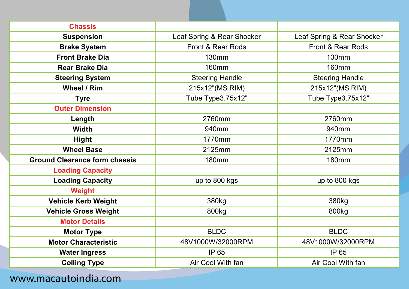| <b>Chassis</b>                       |                              |                              |
|--------------------------------------|------------------------------|------------------------------|
| <b>Suspension</b>                    | Leaf Spring & Rear Shocker   | Leaf Spring & Rear Shocker   |
| <b>Brake System</b>                  | <b>Front &amp; Rear Rods</b> | <b>Front &amp; Rear Rods</b> |
| <b>Front Brake Dia</b>               | <b>130mm</b>                 | <b>130mm</b>                 |
| <b>Rear Brake Dia</b>                | <b>160mm</b>                 | <b>160mm</b>                 |
| <b>Steering System</b>               | <b>Steering Handle</b>       | <b>Steering Handle</b>       |
| <b>Wheel / Rim</b>                   | 215x12"(MS RIM)              | 215x12"(MS RIM)              |
| <b>Tyre</b>                          | Tube Type3.75x12"            | Tube Type3.75x12"            |
| <b>Outer Dimension</b>               |                              |                              |
| Length                               | 2760mm                       | 2760mm                       |
| <b>Width</b>                         | 940mm                        | 940mm                        |
| <b>Hight</b>                         | 1770mm                       | 1770mm                       |
| <b>Wheel Base</b>                    | 2125mm                       | 2125mm                       |
| <b>Ground Clearance form chassis</b> | <b>180mm</b>                 | <b>180mm</b>                 |
| <b>Loading Capacity</b>              |                              |                              |
| <b>Loading Capacity</b>              | up to 800 kgs                | up to 800 kgs                |
| <b>Weight</b>                        |                              |                              |
| <b>Vehicle Kerb Weight</b>           | 380kg                        | 380 <sub>kg</sub>            |
| <b>Vehicle Gross Weight</b>          | 800kg                        | 800 <sub>kg</sub>            |
| <b>Motor Details</b>                 |                              |                              |
| <b>Motor Type</b>                    | <b>BLDC</b>                  | <b>BLDC</b>                  |
| <b>Motor Characteristic</b>          | 48V1000W/32000RPM            | 48V1000W/32000RPM            |
| <b>Water Ingress</b>                 | <b>IP 65</b>                 | IP 65                        |
| <b>Colling Type</b>                  | Air Cool With fan            | Air Cool With fan            |